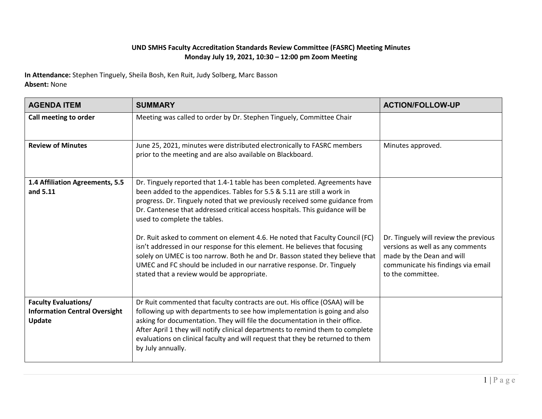## **UND SMHS Faculty Accreditation Standards Review Committee (FASRC) Meeting Minutes Monday July 19, 2021, 10:30 – 12:00 pm Zoom Meeting**

**In Attendance:** Stephen Tinguely, Sheila Bosh, Ken Ruit, Judy Solberg, Marc Basson **Absent:** None

| <b>AGENDA ITEM</b>                                                            | <b>SUMMARY</b>                                                                                                                                                                                                                                                                                                                                                                                                                                                                                                                                                                                                                                                                                                                | <b>ACTION/FOLLOW-UP</b>                                                                                                                                           |
|-------------------------------------------------------------------------------|-------------------------------------------------------------------------------------------------------------------------------------------------------------------------------------------------------------------------------------------------------------------------------------------------------------------------------------------------------------------------------------------------------------------------------------------------------------------------------------------------------------------------------------------------------------------------------------------------------------------------------------------------------------------------------------------------------------------------------|-------------------------------------------------------------------------------------------------------------------------------------------------------------------|
| Call meeting to order                                                         | Meeting was called to order by Dr. Stephen Tinguely, Committee Chair                                                                                                                                                                                                                                                                                                                                                                                                                                                                                                                                                                                                                                                          |                                                                                                                                                                   |
| <b>Review of Minutes</b>                                                      | June 25, 2021, minutes were distributed electronically to FASRC members<br>prior to the meeting and are also available on Blackboard.                                                                                                                                                                                                                                                                                                                                                                                                                                                                                                                                                                                         | Minutes approved.                                                                                                                                                 |
| 1.4 Affiliation Agreements, 5.5<br>and 5.11                                   | Dr. Tinguely reported that 1.4-1 table has been completed. Agreements have<br>been added to the appendices. Tables for 5.5 & 5.11 are still a work in<br>progress. Dr. Tinguely noted that we previously received some guidance from<br>Dr. Cantenese that addressed critical access hospitals. This guidance will be<br>used to complete the tables.<br>Dr. Ruit asked to comment on element 4.6. He noted that Faculty Council (FC)<br>isn't addressed in our response for this element. He believes that focusing<br>solely on UMEC is too narrow. Both he and Dr. Basson stated they believe that<br>UMEC and FC should be included in our narrative response. Dr. Tinguely<br>stated that a review would be appropriate. | Dr. Tinguely will review the previous<br>versions as well as any comments<br>made by the Dean and will<br>communicate his findings via email<br>to the committee. |
| <b>Faculty Evaluations/</b><br><b>Information Central Oversight</b><br>Update | Dr Ruit commented that faculty contracts are out. His office (OSAA) will be<br>following up with departments to see how implementation is going and also<br>asking for documentation. They will file the documentation in their office.<br>After April 1 they will notify clinical departments to remind them to complete<br>evaluations on clinical faculty and will request that they be returned to them<br>by July annually.                                                                                                                                                                                                                                                                                              |                                                                                                                                                                   |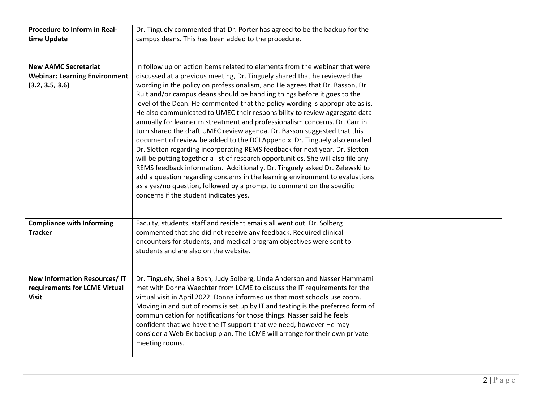| Procedure to Inform in Real-<br>time Update                                            | Dr. Tinguely commented that Dr. Porter has agreed to be the backup for the<br>campus deans. This has been added to the procedure.                                                                                                                                                                                                                                                                                                                                                                                                                                                                                                                                                                                                                                                                                                                                                                                                                                                                                                                                                                                                                                                   |  |
|----------------------------------------------------------------------------------------|-------------------------------------------------------------------------------------------------------------------------------------------------------------------------------------------------------------------------------------------------------------------------------------------------------------------------------------------------------------------------------------------------------------------------------------------------------------------------------------------------------------------------------------------------------------------------------------------------------------------------------------------------------------------------------------------------------------------------------------------------------------------------------------------------------------------------------------------------------------------------------------------------------------------------------------------------------------------------------------------------------------------------------------------------------------------------------------------------------------------------------------------------------------------------------------|--|
| <b>New AAMC Secretariat</b><br><b>Webinar: Learning Environment</b><br>(3.2, 3.5, 3.6) | In follow up on action items related to elements from the webinar that were<br>discussed at a previous meeting, Dr. Tinguely shared that he reviewed the<br>wording in the policy on professionalism, and He agrees that Dr. Basson, Dr.<br>Ruit and/or campus deans should be handling things before it goes to the<br>level of the Dean. He commented that the policy wording is appropriate as is.<br>He also communicated to UMEC their responsibility to review aggregate data<br>annually for learner mistreatment and professionalism concerns. Dr. Carr in<br>turn shared the draft UMEC review agenda. Dr. Basson suggested that this<br>document of review be added to the DCI Appendix. Dr. Tinguely also emailed<br>Dr. Sletten regarding incorporating REMS feedback for next year. Dr. Sletten<br>will be putting together a list of research opportunities. She will also file any<br>REMS feedback information. Additionally, Dr. Tinguely asked Dr. Zelewski to<br>add a question regarding concerns in the learning environment to evaluations<br>as a yes/no question, followed by a prompt to comment on the specific<br>concerns if the student indicates yes. |  |
| <b>Compliance with Informing</b><br><b>Tracker</b>                                     | Faculty, students, staff and resident emails all went out. Dr. Solberg<br>commented that she did not receive any feedback. Required clinical<br>encounters for students, and medical program objectives were sent to<br>students and are also on the website.                                                                                                                                                                                                                                                                                                                                                                                                                                                                                                                                                                                                                                                                                                                                                                                                                                                                                                                       |  |
| <b>New Information Resources/IT</b><br>requirements for LCME Virtual<br><b>Visit</b>   | Dr. Tinguely, Sheila Bosh, Judy Solberg, Linda Anderson and Nasser Hammami<br>met with Donna Waechter from LCME to discuss the IT requirements for the<br>virtual visit in April 2022. Donna informed us that most schools use zoom.<br>Moving in and out of rooms is set up by IT and texting is the preferred form of<br>communication for notifications for those things. Nasser said he feels<br>confident that we have the IT support that we need, however He may<br>consider a Web-Ex backup plan. The LCME will arrange for their own private<br>meeting rooms.                                                                                                                                                                                                                                                                                                                                                                                                                                                                                                                                                                                                             |  |